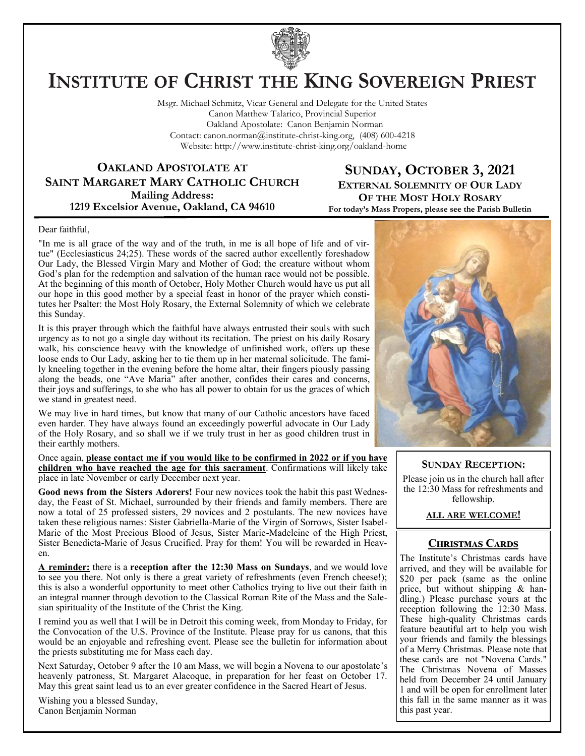

# **INSTITUTE OF CHRIST THE KING SOVEREIGN PRIEST**

Msgr. Michael Schmitz, Vicar General and Delegate for the United States Canon Matthew Talarico, Provincial Superior Oakland Apostolate: Canon Benjamin Norman Contact: canon.norman@institute-christ-king.org, (408) 600-4218 Website: http://www.institute-christ-king.org/oakland-home

**OAKLAND APOSTOLATE AT SAINT MARGARET MARY CATHOLIC CHURCH Mailing Address: 1219 Excelsior Avenue, Oakland, CA 94610**

**SUNDAY, OCTOBER 3, 2021 EXTERNAL SOLEMNITY OF OUR LADY OF THE MOST HOLY ROSARY For today's Mass Propers, please see the Parish Bulletin**

#### Dear faithful,

"In me is all grace of the way and of the truth, in me is all hope of life and of virtue" (Ecclesiasticus 24;25). These words of the sacred author excellently foreshadow Our Lady, the Blessed Virgin Mary and Mother of God; the creature without whom God's plan for the redemption and salvation of the human race would not be possible. At the beginning of this month of October, Holy Mother Church would have us put all our hope in this good mother by a special feast in honor of the prayer which constitutes her Psalter: the Most Holy Rosary, the External Solemnity of which we celebrate this Sunday.

It is this prayer through which the faithful have always entrusted their souls with such urgency as to not go a single day without its recitation. The priest on his daily Rosary walk, his conscience heavy with the knowledge of unfinished work, offers up these loose ends to Our Lady, asking her to tie them up in her maternal solicitude. The family kneeling together in the evening before the home altar, their fingers piously passing along the beads, one "Ave Maria" after another, confides their cares and concerns, their joys and sufferings, to she who has all power to obtain for us the graces of which we stand in greatest need.

We may live in hard times, but know that many of our Catholic ancestors have faced even harder. They have always found an exceedingly powerful advocate in Our Lady of the Holy Rosary, and so shall we if we truly trust in her as good children trust in their earthly mothers.

Once again, **please contact me if you would like to be confirmed in 2022 or if you have children who have reached the age for this sacrament**. Confirmations will likely take place in late November or early December next year.

**Good news from the Sisters Adorers!** Four new novices took the habit this past Wednesday, the Feast of St. Michael, surrounded by their friends and family members. There are now a total of 25 professed sisters, 29 novices and 2 postulants. The new novices have taken these religious names: Sister Gabriella-Marie of the Virgin of Sorrows, Sister Isabel-Marie of the Most Precious Blood of Jesus, Sister Marie-Madeleine of the High Priest, Sister Benedicta-Marie of Jesus Crucified. Pray for them! You will be rewarded in Heaven.

**A reminder:** there is a **reception after the 12:30 Mass on Sundays**, and we would love to see you there. Not only is there a great variety of refreshments (even French cheese!); this is also a wonderful opportunity to meet other Catholics trying to live out their faith in an integral manner through devotion to the Classical Roman Rite of the Mass and the Salesian spirituality of the Institute of the Christ the King.

I remind you as well that I will be in Detroit this coming week, from Monday to Friday, for the Convocation of the U.S. Province of the Institute. Please pray for us canons, that this would be an enjoyable and refreshing event. Please see the bulletin for information about the priests substituting me for Mass each day.

Next Saturday, October 9 after the 10 am Mass, we will begin a Novena to our apostolate's heavenly patroness, St. Margaret Alacoque, in preparation for her feast on October 17. May this great saint lead us to an ever greater confidence in the Sacred Heart of Jesus.

Wishing you a blessed Sunday, Canon Benjamin Norman



#### **SUNDAY RECEPTION:**

Please join us in the church hall after the 12:30 Mass for refreshments and fellowship.

### **ALL ARE WELCOME!**

# **Christmas Cards**

The Institute's Christmas cards have arrived, and they will be available for \$20 per pack (same as the online price, but without shipping & handling.) Please purchase yours at the reception following the 12:30 Mass. These high-quality Christmas cards feature beautiful art to help you wish your friends and family the blessings of a Merry Christmas. Please note that these cards are not "Novena Cards." The Christmas Novena of Masses held from December 24 until January 1 and will be open for enrollment later this fall in the same manner as it was this past year.